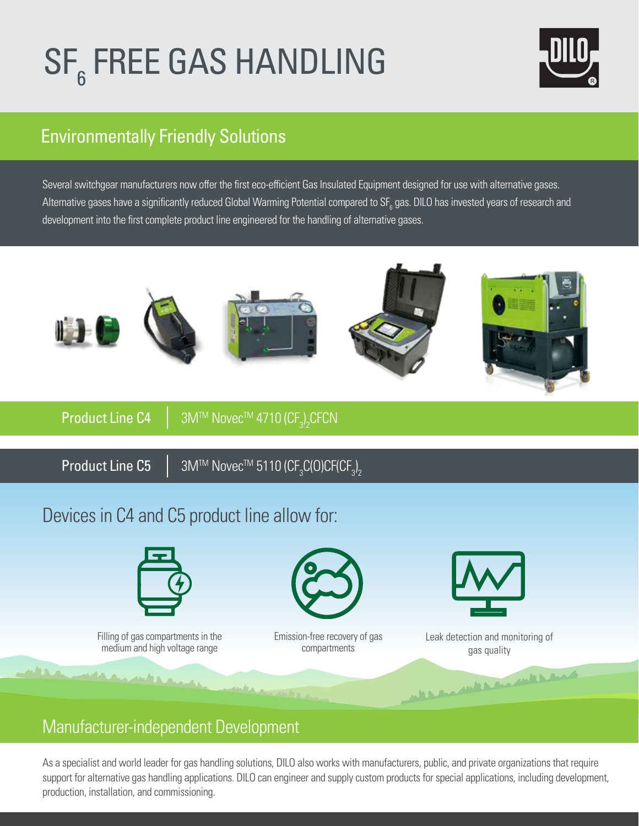# SF<sub>6</sub> FREE GAS HANDLING



### Environmentally Friendly Solutions

Several switchgear manufacturers now offer the first eco-efficient Gas Insulated Equipment designed for use with alternative gases. Alternative gases have a significantly reduced Global Warming Potential compared to SF $_{\rm 6}$  gas. DILO has invested years of research and development into the first complete product line engineered for the handling of alternative gases.



## Devices in C4 and C5 product line allow for:



### Manufacturer-independent Development

As a specialist and world leader for gas handling solutions, DILO also works with manufacturers, public, and private organizations that require support for alternative gas handling applications. DILO can engineer and supply custom products for special applications, including development, production, installation, and commissioning.